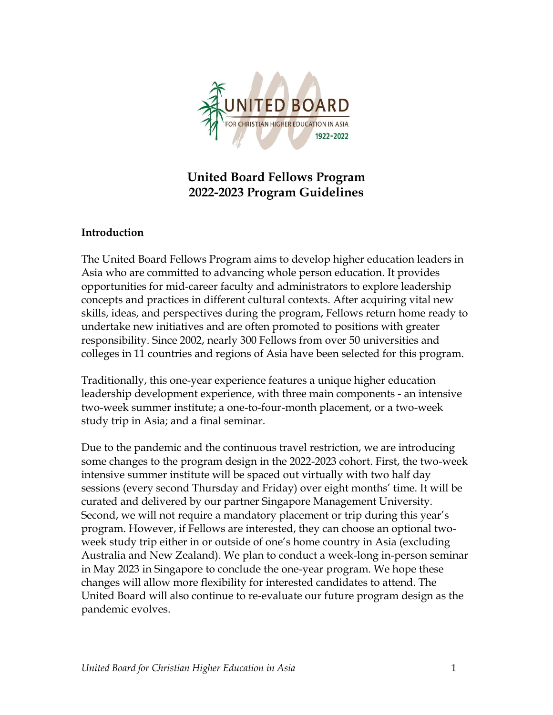

# **United Board Fellows Program 2022-2023 Program Guidelines**

### **Introduction**

The United Board Fellows Program aims to develop higher education leaders in Asia who are committed to advancing whole person education. It provides opportunities for mid-career faculty and administrators to explore leadership concepts and practices in different cultural contexts. After acquiring vital new skills, ideas, and perspectives during the program, Fellows return home ready to undertake new initiatives and are often promoted to positions with greater responsibility. Since 2002, nearly 300 Fellows from over 50 universities and colleges in 11 countries and regions of Asia have been selected for this program.

Traditionally, this one-year experience features a unique higher education leadership development experience, with three main components - an intensive two-week summer institute; a one-to-four-month placement, or a two-week study trip in Asia; and a final seminar.

Due to the pandemic and the continuous travel restriction, we are introducing some changes to the program design in the 2022-2023 cohort. First, the two-week intensive summer institute will be spaced out virtually with two half day sessions (every second Thursday and Friday) over eight months' time. It will be curated and delivered by our partner Singapore Management University. Second, we will not require a mandatory placement or trip during this year's program. However, if Fellows are interested, they can choose an optional twoweek study trip either in or outside of one's home country in Asia (excluding Australia and New Zealand). We plan to conduct a week-long in-person seminar in May 2023 in Singapore to conclude the one-year program. We hope these changes will allow more flexibility for interested candidates to attend. The United Board will also continue to re-evaluate our future program design as the pandemic evolves.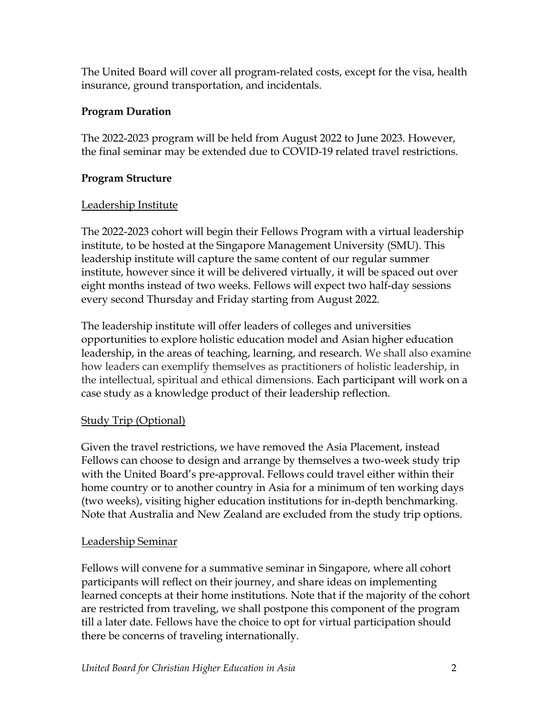The United Board will cover all program-related costs, except for the visa, health insurance, ground transportation, and incidentals.

### **Program Duration**

The 2022-2023 program will be held from August 2022 to June 2023. However, the final seminar may be extended due to COVID-19 related travel restrictions.

### **Program Structure**

### Leadership Institute

The 2022-2023 cohort will begin their Fellows Program with a virtual leadership institute, to be hosted at the Singapore Management University (SMU). This leadership institute will capture the same content of our regular summer institute, however since it will be delivered virtually, it will be spaced out over eight months instead of two weeks. Fellows will expect two half-day sessions every second Thursday and Friday starting from August 2022.

The leadership institute will offer leaders of colleges and universities opportunities to explore holistic education model and Asian higher education leadership, in the areas of teaching, learning, and research. We shall also examine how leaders can exemplify themselves as practitioners of holistic leadership, in the intellectual, spiritual and ethical dimensions. Each participant will work on a case study as a knowledge product of their leadership reflection.

# **Study Trip (Optional)**

Given the travel restrictions, we have removed the Asia Placement, instead Fellows can choose to design and arrange by themselves a two-week study trip with the United Board's pre-approval. Fellows could travel either within their home country or to another country in Asia for a minimum of ten working days (two weeks), visiting higher education institutions for in-depth benchmarking. Note that Australia and New Zealand are excluded from the study trip options.

## Leadership Seminar

Fellows will convene for a summative seminar in Singapore, where all cohort participants will reflect on their journey, and share ideas on implementing learned concepts at their home institutions. Note that if the majority of the cohort are restricted from traveling, we shall postpone this component of the program till a later date. Fellows have the choice to opt for virtual participation should there be concerns of traveling internationally.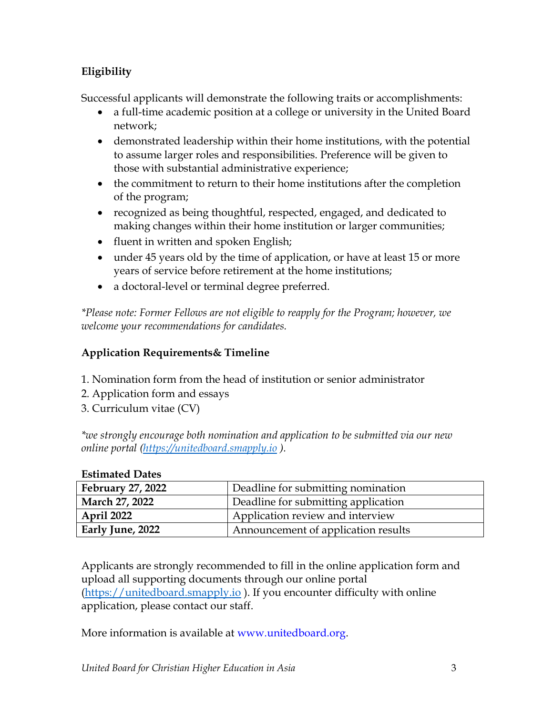## **Eligibility**

Successful applicants will demonstrate the following traits or accomplishments:

- a full-time academic position at a college or university in the United Board network;
- demonstrated leadership within their home institutions, with the potential to assume larger roles and responsibilities. Preference will be given to those with substantial administrative experience;
- the commitment to return to their home institutions after the completion of the program;
- recognized as being thoughtful, respected, engaged, and dedicated to making changes within their home institution or larger communities;
- fluent in written and spoken English;
- under 45 years old by the time of application, or have at least 15 or more years of service before retirement at the home institutions;
- a doctoral-level or terminal degree preferred.

*\*Please note: Former Fellows are not eligible to reapply for the Program; however, we welcome your recommendations for candidates.* 

# **Application Requirements& Timeline**

- 1. Nomination form from the head of institution or senior administrator
- 2. Application form and essays
- 3. Curriculum vitae (CV)

*\*we strongly encourage both nomination and application to be submitted via our new online portal [\(https://unitedboard.smapply.io](https://unitedboard.smapply.io/) ).* 

| <b>February 27, 2022</b> | Deadline for submitting nomination  |
|--------------------------|-------------------------------------|
| March 27, 2022           | Deadline for submitting application |
| <b>April 2022</b>        | Application review and interview    |
| Early June, 2022         | Announcement of application results |

## **Estimated Dates**

Applicants are strongly recommended to fill in the online application form and upload all supporting documents through our online portal [\(https://unitedboard.smapply.io](https://unitedboard.smapply.io/) ). If you encounter difficulty with online application, please contact our staff.

More information is available at www.unitedboard.org.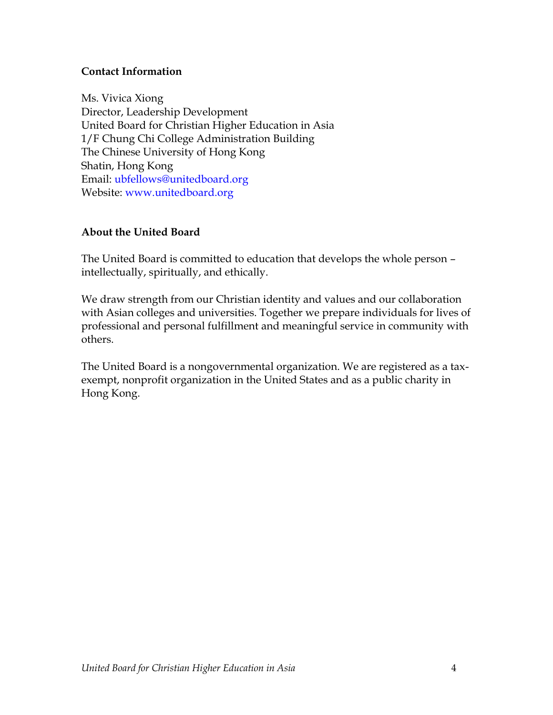### **Contact Information**

Ms. Vivica Xiong Director, Leadership Development United Board for Christian Higher Education in Asia 1/F Chung Chi College Administration Building The Chinese University of Hong Kong Shatin, Hong Kong Email: ubfellows@unitedboard.org Website: www.unitedboard.org

### **About the United Board**

The United Board is committed to education that develops the whole person – intellectually, spiritually, and ethically.

We draw strength from our Christian identity and values and our collaboration with Asian colleges and universities. Together we prepare individuals for lives of professional and personal fulfillment and meaningful service in community with others.

The United Board is a nongovernmental organization. We are registered as a taxexempt, nonprofit organization in the United States and as a public charity in Hong Kong.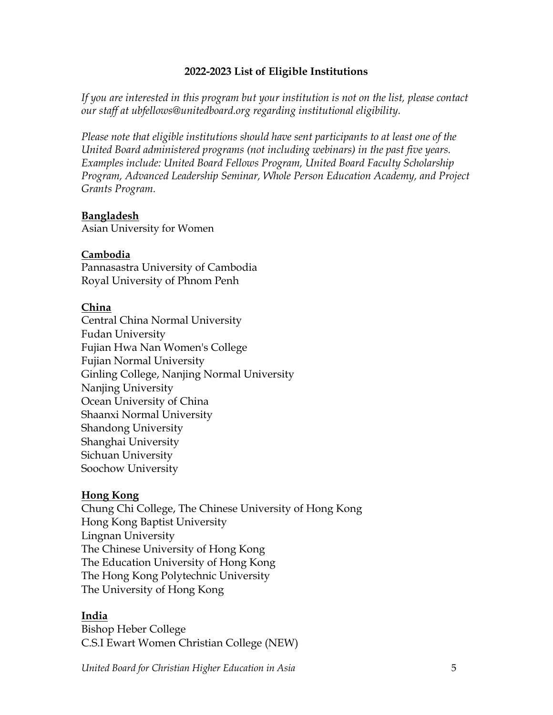#### **2022-2023 List of Eligible Institutions**

*If you are interested in this program but your institution is not on the list, please contact our staff at ubfellows@unitedboard.org regarding institutional eligibility.*

*Please note that eligible institutions should have sent participants to at least one of the United Board administered programs (not including webinars) in the past five years. Examples include: United Board Fellows Program, United Board Faculty Scholarship Program, Advanced Leadership Seminar, Whole Person Education Academy, and Project Grants Program.*

#### **Bangladesh**

Asian University for Women

### **Cambodia**

Pannasastra University of Cambodia Royal University of Phnom Penh

### **China**

Central China Normal University Fudan University Fujian Hwa Nan Women's College Fujian Normal University Ginling College, Nanjing Normal University Nanjing University Ocean University of China Shaanxi Normal University Shandong University Shanghai University Sichuan University Soochow University

### **Hong Kong**

Chung Chi College, The Chinese University of Hong Kong Hong Kong Baptist University Lingnan University The Chinese University of Hong Kong The Education University of Hong Kong The Hong Kong Polytechnic University The University of Hong Kong

### **India**

Bishop Heber College C.S.I Ewart Women Christian College (NEW)

*United Board for Christian Higher Education in Asia* 5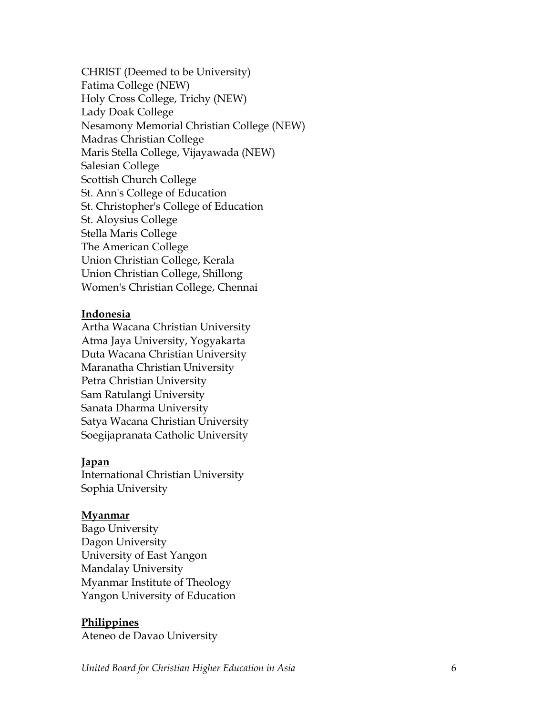CHRIST (Deemed to be University) Fatima College (NEW) Holy Cross College, Trichy (NEW) Lady Doak College Nesamony Memorial Christian College (NEW) Madras Christian College Maris Stella College, Vijayawada (NEW) Salesian College Scottish Church College St. Ann's College of Education St. Christopher's College of Education St. Aloysius College Stella Maris College The American College Union Christian College, Kerala Union Christian College, Shillong Women's Christian College, Chennai

#### **Indonesia**

Artha Wacana Christian University Atma Jaya University, Yogyakarta Duta Wacana Christian University Maranatha Christian University Petra Christian University Sam Ratulangi University Sanata Dharma University Satya Wacana Christian University Soegijapranata Catholic University

#### **Japan**

International Christian University Sophia University

#### **Myanmar**

Bago University Dagon University University of East Yangon Mandalay University Myanmar Institute of Theology Yangon University of Education

#### **Philippines**

Ateneo de Davao University

*United Board for Christian Higher Education in Asia*